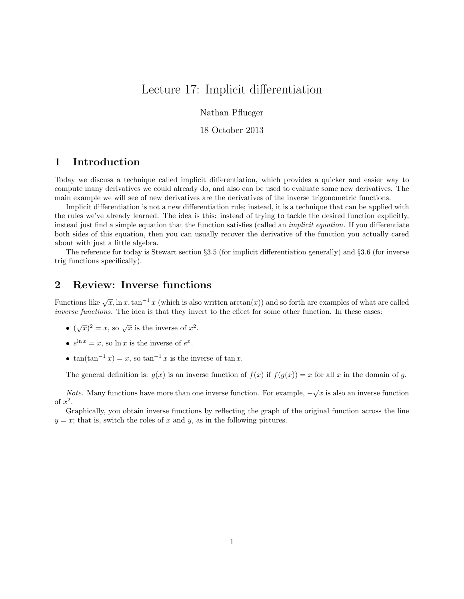# Lecture 17: Implicit differentiation

Nathan Pflueger

18 October 2013

### 1 Introduction

Today we discuss a technique called implicit differentiation, which provides a quicker and easier way to compute many derivatives we could already do, and also can be used to evaluate some new derivatives. The main example we will see of new derivatives are the derivatives of the inverse trigonometric functions.

Implicit differentiation is not a new differentiation rule; instead, it is a technique that can be applied with the rules we've already learned. The idea is this: instead of trying to tackle the desired function explicitly, instead just find a simple equation that the function satisfies (called an *implicit equation*. If you differentiate both sides of this equation, then you can usually recover the derivative of the function you actually cared about with just a little algebra.

The reference for today is Stewart section §3.5 (for implicit differentiation generally) and §3.6 (for inverse trig functions specifically).

### 2 Review: Inverse functions

Functions like  $\sqrt{x}$ , ln x, tan<sup>-1</sup> x (which is also written  $arctan(x)$ ) and so forth are examples of what are called inverse functions. The idea is that they invert to the effect for some other function. In these cases:

- $(\sqrt{x})^2 = x$ , so  $\sqrt{x}$  is the inverse of  $x^2$ .
- $e^{\ln x} = x$ , so  $\ln x$  is the inverse of  $e^x$ .
- $\tan(\tan^{-1} x) = x$ , so  $\tan^{-1} x$  is the inverse of  $\tan x$ .

The general definition is:  $g(x)$  is an inverse function of  $f(x)$  if  $f(g(x)) = x$  for all x in the domain of g.

*Note.* Many functions have more than one inverse function. For example,  $-\sqrt{x}$  is also an inverse function of  $x^2$ .

Graphically, you obtain inverse functions by reflecting the graph of the original function across the line  $y = x$ ; that is, switch the roles of x and y, as in the following pictures.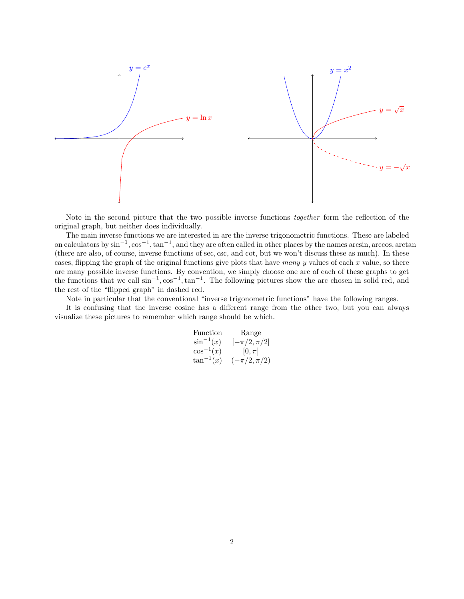

Note in the second picture that the two possible inverse functions together form the reflection of the original graph, but neither does individually.

The main inverse functions we are interested in are the inverse trigonometric functions. These are labeled on calculators by  $\sin^{-1}$ ,  $\cos^{-1}$ ,  $\tan^{-1}$ , and they are often called in other places by the names arcsin, arccos, arctan (there are also, of course, inverse functions of sec, csc, and cot, but we won't discuss these as much). In these cases, flipping the graph of the original functions give plots that have many y values of each x value, so there are many possible inverse functions. By convention, we simply choose one arc of each of these graphs to get the functions that we call  $\sin^{-1}$ ,  $\cos^{-1}$ ,  $\tan^{-1}$ . The following pictures show the arc chosen in solid red, and the rest of the "flipped graph" in dashed red.

Note in particular that the conventional "inverse trigonometric functions" have the following ranges.

It is confusing that the inverse cosine has a different range from the other two, but you can always visualize these pictures to remember which range should be which.

| Function       | Range             |
|----------------|-------------------|
| $\sin^{-1}(x)$ | $[-\pi/2, \pi/2]$ |
| $\cos^{-1}(x)$ | $[0, \pi]$        |
| $\tan^{-1}(x)$ | $(-\pi/2, \pi/2)$ |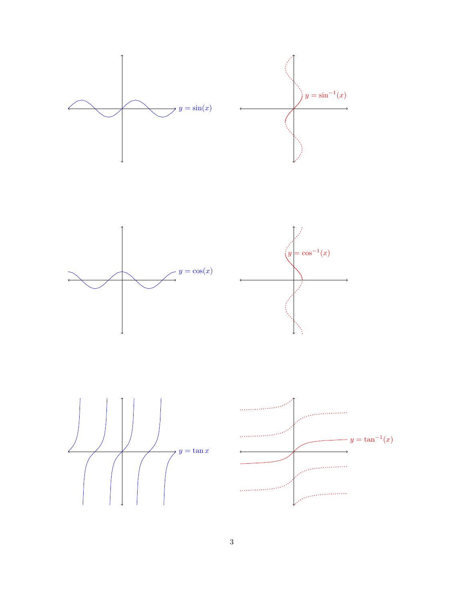

3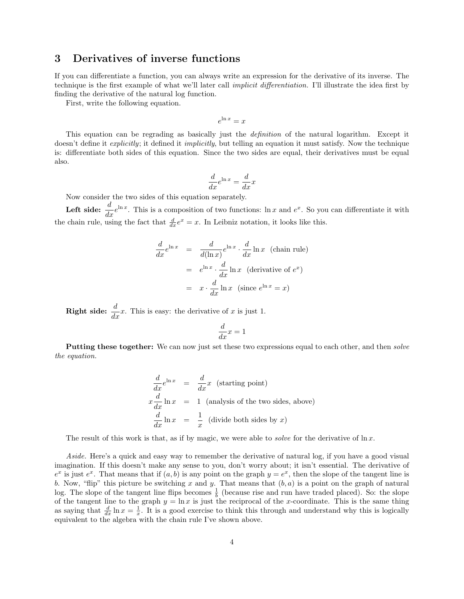### 3 Derivatives of inverse functions

If you can differentiate a function, you can always write an expression for the derivative of its inverse. The technique is the first example of what we'll later call implicit differentiation. I'll illustrate the idea first by finding the derivative of the natural log function.

First, write the following equation.

$$
e^{\ln x} = x
$$

This equation can be regrading as basically just the *definition* of the natural logarithm. Except it doesn't define it *explicitly*; it defined it *implicitly*, but telling an equation it must satisfy. Now the technique is: differentiate both sides of this equation. Since the two sides are equal, their derivatives must be equal also.

$$
\frac{d}{dx}e^{\ln x} = \frac{d}{dx}x
$$

Now consider the two sides of this equation separately.

**Left side:**  $\frac{d}{dx}e^{\ln x}$ . This is a composition of two functions:  $\ln x$  and  $e^x$ . So you can differentiate it with the chain rule, using the fact that  $\frac{d}{dx}e^x = x$ . In Leibniz notation, it looks like this.

$$
\frac{d}{dx}e^{\ln x} = \frac{d}{d(\ln x)}e^{\ln x} \cdot \frac{d}{dx}\ln x \text{ (chain rule)}
$$

$$
= e^{\ln x} \cdot \frac{d}{dx}\ln x \text{ (derivative of } e^x)
$$

$$
= x \cdot \frac{d}{dx}\ln x \text{ (since } e^{\ln x} = x)
$$

**Right side:**  $\frac{d}{dx}x$ . This is easy: the derivative of x is just 1.

$$
\frac{d}{dx}x = 1
$$

**Putting these together:** We can now just set these two expressions equal to each other, and then *solve* the equation.

$$
\frac{d}{dx}e^{\ln x} = \frac{d}{dx}x
$$
 (starting point)  

$$
x\frac{d}{dx}\ln x = 1
$$
 (analysis of the two sides, above)  

$$
\frac{d}{dx}\ln x = \frac{1}{x}
$$
 (divide both sides by x)

The result of this work is that, as if by magic, we were able to *solve* for the derivative of  $\ln x$ .

Aside. Here's a quick and easy way to remember the derivative of natural log, if you have a good visual imagination. If this doesn't make any sense to you, don't worry about; it isn't essential. The derivative of  $e^x$  is just  $e^x$ . That means that if  $(a, b)$  is any point on the graph  $y = e^x$ , then the slope of the tangent line is b. Now, "flip" this picture be switching x and y. That means that  $(b, a)$  is a point on the graph of natural log. The slope of the tangent line flips becomes  $\frac{1}{b}$  (because rise and run have traded placed). So: the slope of the tangent line to the graph  $y = \ln x$  is just the reciprocal of the x-coordinate. This is the same thing as saying that  $\frac{d}{dx} \ln x = \frac{1}{x}$ . It is a good exercise to think this through and understand why this is logically equivalent to the algebra with the chain rule I've shown above.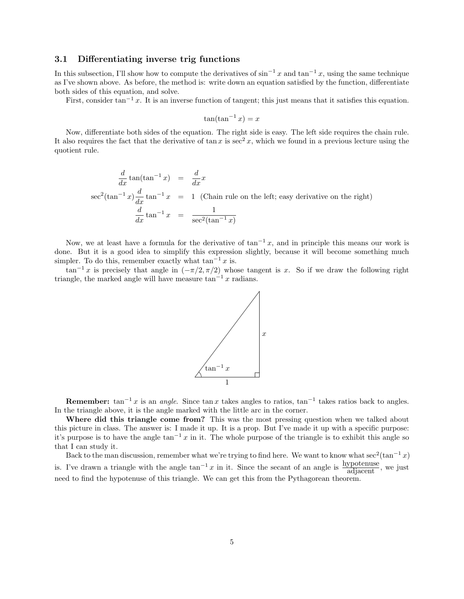### 3.1 Differentiating inverse trig functions

In this subsection, I'll show how to compute the derivatives of  $\sin^{-1} x$  and  $\tan^{-1} x$ , using the same technique as I've shown above. As before, the method is: write down an equation satisfied by the function, differentiate both sides of this equation, and solve.

First, consider tan<sup>-1</sup> x. It is an inverse function of tangent; this just means that it satisfies this equation.

$$
\tan(\tan^{-1}x) = x
$$

Now, differentiate both sides of the equation. The right side is easy. The left side requires the chain rule. It also requires the fact that the derivative of tan x is  $\sec^2 x$ , which we found in a previous lecture using the quotient rule.

$$
\frac{d}{dx} \tan(\tan^{-1} x) = \frac{d}{dx} x
$$
  
\n
$$
\sec^2(\tan^{-1} x) \frac{d}{dx} \tan^{-1} x = 1
$$
 (Chain rule on the left; easy derivative on the right)  
\n
$$
\frac{d}{dx} \tan^{-1} x = \frac{1}{\sec^2(\tan^{-1} x)}
$$

Now, we at least have a formula for the derivative of  $\tan^{-1} x$ , and in principle this means our work is done. But it is a good idea to simplify this expression slightly, because it will become something much simpler. To do this, remember exactly what  $\tan^{-1} x$  is.

 $\tan^{-1} x$  is precisely that angle in  $(-\pi/2, \pi/2)$  whose tangent is x. So if we draw the following right triangle, the marked angle will have measure  $tan^{-1} x$  radians.



**Remember:**  $tan^{-1}x$  is an *angle*. Since  $tan x$  takes angles to ratios,  $tan^{-1}$  takes ratios back to angles. In the triangle above, it is the angle marked with the little arc in the corner.

Where did this triangle come from? This was the most pressing question when we talked about this picture in class. The answer is: I made it up. It is a prop. But I've made it up with a specific purpose: it's purpose is to have the angle tan<sup>-1</sup> x in it. The whole purpose of the triangle is to exhibit this angle so that I can study it.

Back to the man discussion, remember what we're trying to find here. We want to know what sec<sup>2</sup>(tan<sup>-1</sup> x) is. I've drawn a triangle with the angle  $\tan^{-1} x$  in it. Since the secant of an angle is  $\frac{\text{hypotenuse}}{\text{adjacent}}$ , we just need to find the hypotenuse of this triangle. We can get this from the Pythagorean theorem.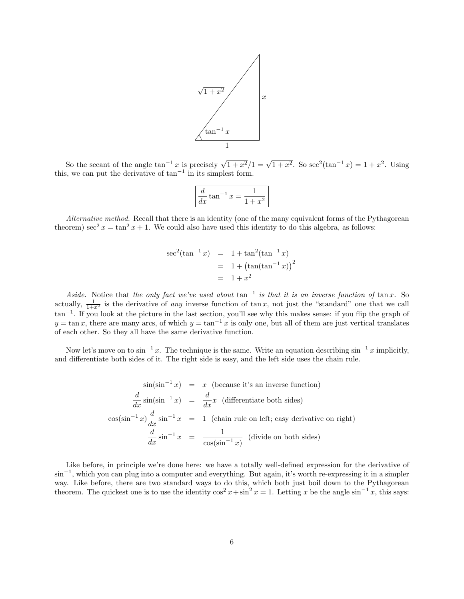

So the secant of the angle  $\tan^{-1} x$  is precisely  $\sqrt{1+x^2}/1 = \sqrt{1+x^2}$ . So  $\sec^2(\tan^{-1} x) = 1+x^2$ . Using this, we can put the derivative of  $tan^{-1}$  in its simplest form.

$$
\frac{d}{dx}\tan^{-1}x = \frac{1}{1+x^2}
$$

Alternative method. Recall that there is an identity (one of the many equivalent forms of the Pythagorean theorem) sec<sup>2</sup>  $x = \tan^2 x + 1$ . We could also have used this identity to do this algebra, as follows:

$$
\sec^2(\tan^{-1} x) = 1 + \tan^2(\tan^{-1} x)
$$
  
= 1 + (\tan(\tan^{-1} x))^2  
= 1 + x^2

Aside. Notice that the only fact we've used about  $\tan^{-1}$  is that it is an inverse function of  $\tan x$ . So actually,  $\frac{1}{1+x^2}$  is the derivative of any inverse function of tan x, not just the "standard" one that we call tan<sup>-1</sup>. If you look at the picture in the last section, you'll see why this makes sense: if you flip the graph of  $y = \tan x$ , there are many arcs, of which  $y = \tan^{-1} x$  is only one, but all of them are just vertical translates of each other. So they all have the same derivative function.

Now let's move on to  $\sin^{-1} x$ . The technique is the same. Write an equation describing  $\sin^{-1} x$  implicitly, and differentiate both sides of it. The right side is easy, and the left side uses the chain rule.

$$
\sin(\sin^{-1} x) = x \text{ (because it's an inverse function)}
$$
  
\n
$$
\frac{d}{dx} \sin(\sin^{-1} x) = \frac{d}{dx} x \text{ (differentiate both sides)}
$$
  
\n
$$
\cos(\sin^{-1} x) \frac{d}{dx} \sin^{-1} x = 1 \text{ (chain rule on left; easy derivative on right)}
$$
  
\n
$$
\frac{d}{dx} \sin^{-1} x = \frac{1}{\cos(\sin^{-1} x)} \text{ (divide on both sides)}
$$

Like before, in principle we're done here: we have a totally well-defined expression for the derivative of sin<sup>-1</sup>, which you can plug into a computer and everything. But again, it's worth re-expressing it in a simpler way. Like before, there are two standard ways to do this, which both just boil down to the Pythagorean theorem. The quickest one is to use the identity  $\cos^2 x + \sin^2 x = 1$ . Letting x be the angle  $\sin^{-1} x$ , this says: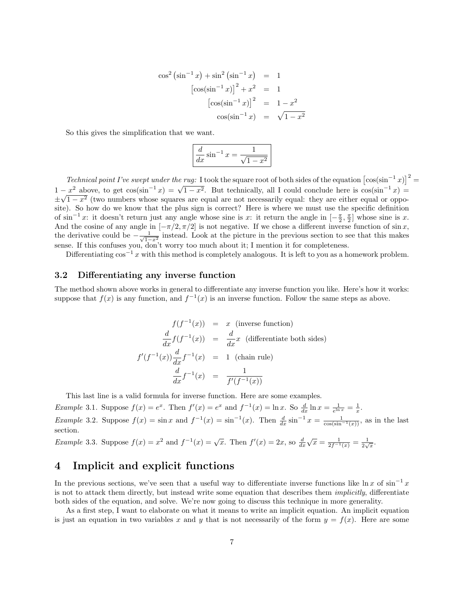$$
\cos^2 (\sin^{-1} x) + \sin^2 (\sin^{-1} x) = 1
$$
  
\n
$$
[\cos(\sin^{-1} x)]^2 + x^2 = 1
$$
  
\n
$$
[\cos(\sin^{-1} x)]^2 = 1 - x^2
$$
  
\n
$$
\cos(\sin^{-1} x) = \sqrt{1 - x^2}
$$

So this gives the simplification that we want.

$$
\frac{d}{dx}\sin^{-1}x = \frac{1}{\sqrt{1-x^2}}
$$

Technical point I've swept under the rug: I took the square root of both sides of the equation  $\left[\cos(\sin^{-1} x)\right]^2$ 1 −  $x^2$  above, to get cos(sin<sup>-1</sup> x) =  $\sqrt{1-x^2}$ . But technically, all I could conclude here is cos(sin<sup>-1</sup> x) =  $\pm\sqrt{1-x^2}$  (two numbers whose squares are equal are not necessarily equal: they are either equal or opposite). So how do we know that the plus sign is correct? Here is where we must use the specific definition of  $\sin^{-1} x$ : it doesn't return just any angle whose sine is x: it return the angle in  $\left[-\frac{\pi}{2}, \frac{\pi}{2}\right]$  whose sine is x. And the cosine of any angle in  $[-\pi/2, \pi/2]$  is not negative. If we chose a different inverse function of sin x, the derivative could be  $-\frac{1}{\sqrt{1-x^2}}$  instead. Look at the picture in the previous section to see that this makes sense. If this confuses you, don't worry too much about it; I mention it for completeness.

Differentiating  $\cos^{-1} x$  with this method is completely analogous. It is left to you as a homework problem.

#### 3.2 Differentiating any inverse function

The method shown above works in general to differentiate any inverse function you like. Here's how it works: suppose that  $f(x)$  is any function, and  $f^{-1}(x)$  is an inverse function. Follow the same steps as above.

$$
f(f^{-1}(x)) = x \text{ (inverse function)}
$$
  
\n
$$
\frac{d}{dx} f(f^{-1}(x)) = \frac{d}{dx} x \text{ (differentiate both sides)}
$$
  
\n
$$
f'(f^{-1}(x)) \frac{d}{dx} f^{-1}(x) = 1 \text{ (chain rule)}
$$
  
\n
$$
\frac{d}{dx} f^{-1}(x) = \frac{1}{f'(f^{-1}(x))}
$$

This last line is a valid formula for inverse function. Here are some examples.

Example 3.1. Suppose  $f(x) = e^x$ . Then  $f'(x) = e^x$  and  $f^{-1}(x) = \ln x$ . So  $\frac{d}{dx} \ln x = \frac{1}{e^{\ln x}} = \frac{1}{x}$ . Example 3.2. Suppose  $f(x) = \sin x$  and  $f^{-1}(x) = \sin^{-1}(x)$ . Then  $\frac{d}{dx} \sin^{-1} x = \frac{1}{\cos(\sin^{-1}(x))}$ , as in the last section.

*Example* 3.3. Suppose  $f(x) = x^2$  and  $f^{-1}(x) = \sqrt{x}$ . Then  $f'(x) = 2x$ , so  $\frac{d}{dx}$  $\sqrt{x} = \frac{1}{2f^{-1}(x)} = \frac{1}{2\sqrt{x}}.$ 

### 4 Implicit and explicit functions

In the previous sections, we've seen that a useful way to differentiate inverse functions like  $\ln x$  of  $\sin^{-1} x$ is not to attack them directly, but instead write some equation that describes them implicitly, differentiate both sides of the equation, and solve. We're now going to discuss this technique in more generality.

As a first step, I want to elaborate on what it means to write an implicit equation. An implicit equation is just an equation in two variables x and y that is not necessarily of the form  $y = f(x)$ . Here are some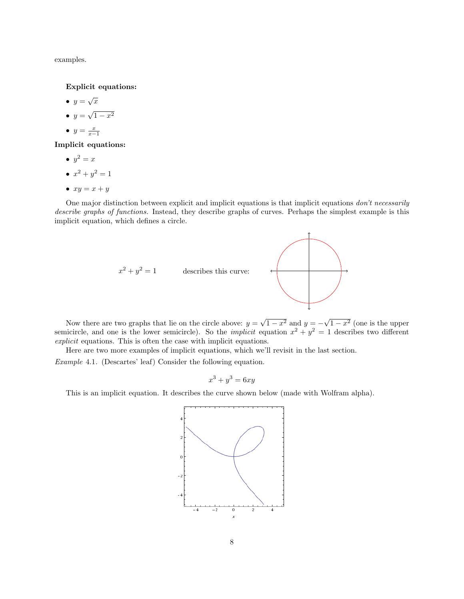examples.

Explicit equations:

•  $y = \sqrt{x}$  $\bullet$  y = √  $1 - x^2$ •  $y = \frac{x}{x-1}$ 

Implicit equations:

- $\bullet \, y^2=x$
- $x^2 + y^2 = 1$
- $xy = x + y$

One major distinction between explicit and implicit equations is that implicit equations don't necessarily describe graphs of functions. Instead, they describe graphs of curves. Perhaps the simplest example is this implicit equation, which defines a circle.



Now there are two graphs that lie on the circle above:  $y =$  $\overline{1-x^2}$  and  $y=-\sqrt{ }$  $1-x^2$  (one is the upper semicircle, and one is the lower semicircle). So the *implicit* equation  $x^2 + y^2 = 1$  describes two different explicit equations. This is often the case with implicit equations.

Here are two more examples of implicit equations, which we'll revisit in the last section.

Example 4.1. (Descartes' leaf) Consider the following equation.

$$
x^3 + y^3 = 6xy
$$

This is an implicit equation. It describes the curve shown below (made with Wolfram alpha).

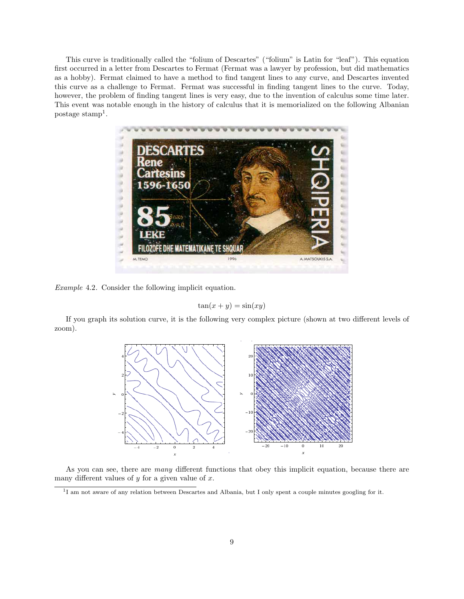This curve is traditionally called the "folium of Descartes" ("folium" is Latin for "leaf"). This equation first occurred in a letter from Descartes to Fermat (Fermat was a lawyer by profession, but did mathematics as a hobby). Fermat claimed to have a method to find tangent lines to any curve, and Descartes invented this curve as a challenge to Fermat. Fermat was successful in finding tangent lines to the curve. Today, however, the problem of finding tangent lines is very easy, due to the invention of calculus some time later. This event was notable enough in the history of calculus that it is memorialized on the following Albanian postage stamp<sup>1</sup>.



Example 4.2. Consider the following implicit equation.

$$
\tan(x+y) = \sin(xy)
$$

If you graph its solution curve, it is the following very complex picture (shown at two different levels of zoom).



As you can see, there are many different functions that obey this implicit equation, because there are many different values of  $y$  for a given value of  $x$ .

<sup>&</sup>lt;sup>1</sup>I am not aware of any relation between Descartes and Albania, but I only spent a couple minutes googling for it.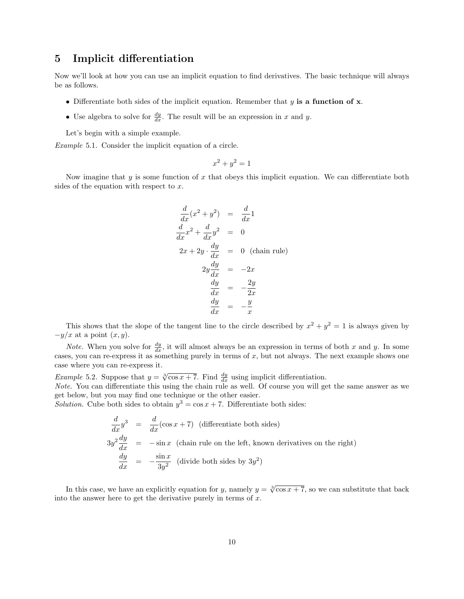## 5 Implicit differentiation

Now we'll look at how you can use an implicit equation to find derivatives. The basic technique will always be as follows.

- Differentiate both sides of the implicit equation. Remember that  $y$  is a function of x.
- Use algebra to solve for  $\frac{dy}{dx}$ . The result will be an expression in x and y.

Let's begin with a simple example.

Example 5.1. Consider the implicit equation of a circle.

$$
x^2 + y^2 = 1
$$

Now imagine that  $y$  is some function of  $x$  that obeys this implicit equation. We can differentiate both sides of the equation with respect to  $x$ .

$$
\frac{d}{dx}(x^2 + y^2) = \frac{d}{dx}1
$$
\n
$$
\frac{d}{dx}x^2 + \frac{d}{dx}y^2 = 0
$$
\n
$$
2x + 2y \cdot \frac{dy}{dx} = 0 \text{ (chain rule)}
$$
\n
$$
2y\frac{dy}{dx} = -2x
$$
\n
$$
\frac{dy}{dx} = -\frac{2y}{2x}
$$
\n
$$
\frac{dy}{dx} = -\frac{y}{x}
$$

This shows that the slope of the tangent line to the circle described by  $x^2 + y^2 = 1$  is always given by  $-y/x$  at a point  $(x, y)$ .

*Note.* When you solve for  $\frac{dy}{dx}$ , it will almost always be an expression in terms of both x and y. In some cases, you can re-express it as something purely in terms of  $x$ , but not always. The next example shows one case where you can re-express it.

*Example* 5.2. Suppose that  $y = \sqrt[3]{\cos x + 7}$ . Find  $\frac{dy}{dx}$  using implicit differentiation.

Note. You can differentiate this using the chain rule as well. Of course you will get the same answer as we get below, but you may find one technique or the other easier.

Solution. Cube both sides to obtain  $y^3 = \cos x + 7$ . Differentiate both sides:

$$
\frac{d}{dx}y^3 = \frac{d}{dx}(\cos x + 7)
$$
 (differentiate both sides)  
\n
$$
3y^2 \frac{dy}{dx} = -\sin x
$$
 (chain rule on the left, known derivatives on the right)  
\n
$$
\frac{dy}{dx} = -\frac{\sin x}{3y^2}
$$
 (divide both sides by 3y<sup>2</sup>)

In this case, we have an explicitly equation for y, namely  $y = \sqrt[3]{\cos x + 7}$ , so we can substitute that back into the answer here to get the derivative purely in terms of  $x$ .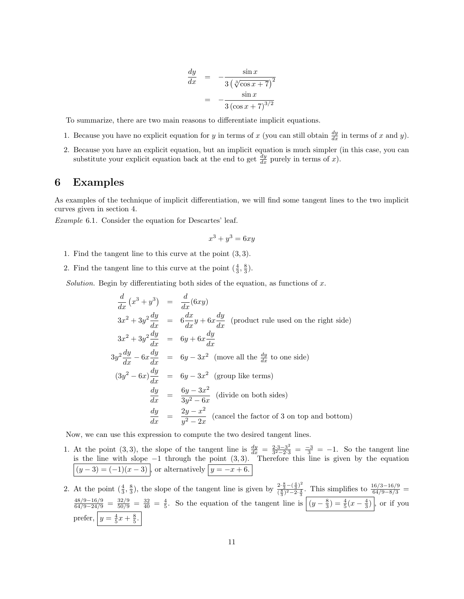$$
\frac{dy}{dx} = -\frac{\sin x}{3(\sqrt[3]{\cos x + 7})^2}
$$

$$
= -\frac{\sin x}{3(\cos x + 7)^{3/2}}
$$

To summarize, there are two main reasons to differentiate implicit equations.

- 1. Because you have no explicit equation for y in terms of x (you can still obtain  $\frac{dy}{dx}$  in terms of x and y).
- 2. Because you have an explicit equation, but an implicit equation is much simpler (in this case, you can substitute your explicit equation back at the end to get  $\frac{dy}{dx}$  purely in terms of x).

### 6 Examples

As examples of the technique of implicit differentiation, we will find some tangent lines to the two implicit curves given in section 4.

Example 6.1. Consider the equation for Descartes' leaf.

$$
x^3 + y^3 = 6xy
$$

- 1. Find the tangent line to this curve at the point (3, 3).
- 2. Find the tangent line to this curve at the point  $(\frac{4}{3}, \frac{8}{3})$ .

Solution. Begin by differentiating both sides of the equation, as functions of  $x$ .

$$
\frac{d}{dx}(x^3 + y^3) = \frac{d}{dx}(6xy)
$$
\n
$$
3x^2 + 3y^2 \frac{dy}{dx} = 6\frac{dx}{dx}y + 6x\frac{dy}{dx}
$$
 (product rule used on the right side)\n
$$
3x^2 + 3y^2 \frac{dy}{dx} = 6y + 6x\frac{dy}{dx}
$$
\n
$$
3y^2 \frac{dy}{dx} - 6x\frac{dy}{dx} = 6y - 3x^2
$$
 (move all the  $\frac{dy}{dx}$  to one side)\n
$$
(3y^2 - 6x)\frac{dy}{dx} = 6y - 3x^2
$$
 (group like terms)\n
$$
\frac{dy}{dx} = \frac{6y - 3x^2}{3y^2 - 6x}
$$
 (divide on both sides)\n
$$
\frac{dy}{dx} = \frac{2y - x^2}{y^2 - 2x}
$$
 (cancel the factor of 3 on top and bottom)

Now, we can use this expression to compute the two desired tangent lines.

- 1. At the point (3,3), the slope of the tangent line is  $\frac{dy}{dx} = \frac{2 \cdot 3 3^2}{3^2 2 \cdot 3}$  $\frac{2 \cdot 3 - 3^2}{3^2 - 2 \cdot 3} = \frac{-3}{3} = -1$ . So the tangent line is the line with slope  $-1$  through the point  $(3,3)$ . Therefore this line is given by the equation  $(y-3) = (-1)(x-3)$ , or alternatively  $|y = -x + 6$ .
- 2. At the point  $(\frac{4}{3}, \frac{8}{3})$ , the slope of the tangent line is given by  $\frac{2 \cdot \frac{8}{3} (\frac{4}{3})^2}{(\frac{8}{3})^2 2 \cdot \frac{4}{3}}$  $\frac{2 \cdot \frac{5}{3} - ( \frac{4}{3} )^2}{(\frac{8}{3})^2 - 2 \cdot \frac{4}{3}}$ . This simplifies to  $\frac{16/3 - 16/9}{64/9 - 8/3}$  =  $\frac{48/9-16/9}{64/9-24/9} = \frac{32/9}{50/9} = \frac{32}{40} = \frac{4}{5}$ . So the equation of the tangent line is  $\left| (y-\frac{8}{3}) = \frac{4}{5}(x-\frac{4}{3}) \right|$ , or if you prefer,  $y = \frac{4}{5}x + \frac{8}{5}$ .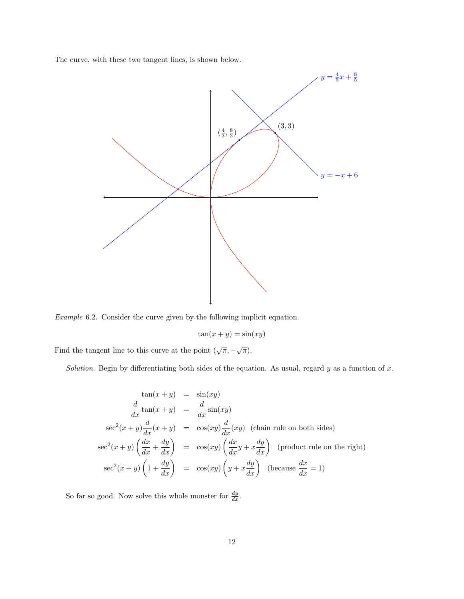The curve, with these two tangent lines, is shown below.



Example 6.2. Consider the curve given by the following implicit equation.

$$
\tan(x+y) = \sin(xy)
$$

Find the tangent line to this curve at the point  $(\sqrt{\pi}, -\sqrt{\pi})$ .

Solution. Begin by differentiating both sides of the equation. As usual, regard  $y$  as a function of  $x$ .

$$
\tan(x+y) = \sin(xy)
$$
  
\n
$$
\frac{d}{dx}\tan(x+y) = \frac{d}{dx}\sin(xy)
$$
  
\n
$$
\sec^2(x+y)\frac{d}{dx}(x+y) = \cos(xy)\frac{d}{dx}(xy)
$$
 (chain rule on both sides)  
\n
$$
\sec^2(x+y)\left(\frac{dx}{dx} + \frac{dy}{dx}\right) = \cos(xy)\left(\frac{dx}{dx}y + x\frac{dy}{dx}\right)
$$
 (product rule on the right)  
\n
$$
\sec^2(x+y)\left(1 + \frac{dy}{dx}\right) = \cos(xy)\left(y + x\frac{dy}{dx}\right)
$$
 (because  $\frac{dx}{dx} = 1$ )

So far so good. Now solve this whole monster for  $\frac{dy}{dx}$ .